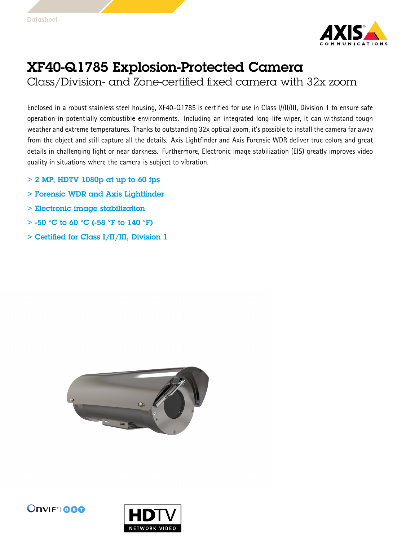

## XF40-Q1785 Explosion-Protected Camera

Class/Division- and Zone-certified fixed camera with 32x zoom

Enclosed in <sup>a</sup> robust stainless steel housing, XF40-Q1785 is certified for use in Class I//II/III, Division <sup>1</sup> to ensure safe operation in potentially combustible environments. Including an integrated long-life wiper, it can withstand tough weather and extreme temperatures. Thanks to outstanding 32x optical zoom, it's possible to install the camera far away from the object and still capture all the details. Axis Lightfinder and Axis Forensic WDR deliver true colors and great details in challenging light or near darkness. Furthermore, Electronic image stabilization (EIS) greatly improves video quality in situations where the camera is subject to vibration.

- $> 2$  MP, HDTV 1080p at up to 60 fps
- > Forensic WDR and Axis Lightfinder
- > Electronic image stabilization
- $>$  -50 °C to 60 °C (-58 °F to 140 °F)
- $>$  Certified for Class I/II/III, Division 1